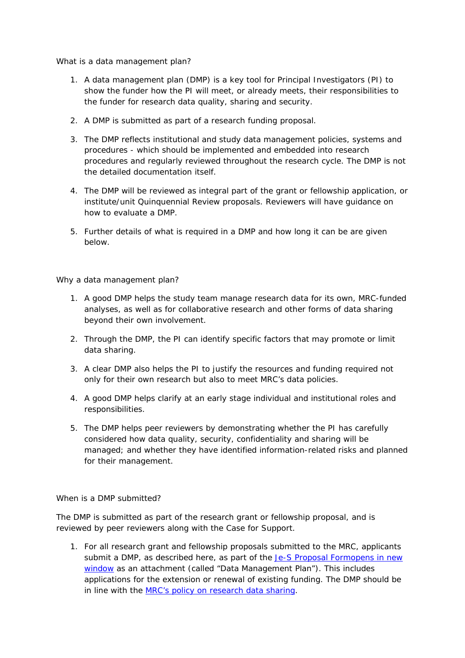What is a data management plan?

- 1. A data management plan (DMP) is a key tool for Principal Investigators (PI) to show the funder how the PI will meet, or already meets, their responsibilities to the funder for research data quality, sharing and security.
- 2. A DMP is submitted as part of a research funding proposal.
- 3. The DMP reflects institutional and study data management policies, systems and procedures - which should be implemented and embedded into research procedures and regularly reviewed throughout the research cycle. The DMP is not the detailed documentation itself.
- 4. The DMP will be reviewed as integral part of the grant or fellowship application, or institute/unit Quinquennial Review proposals. Reviewers will have guidance on how to evaluate a DMP.
- 5. Further details of what is required in a DMP and how long it can be are given below.

Why a data management plan?

- 1. A good DMP helps the study team manage research data for its own, MRC-funded analyses, as well as for collaborative research and other forms of data sharing beyond their own involvement.
- 2. Through the DMP, the PI can identify specific factors that may promote or limit data sharing.
- 3. A clear DMP also helps the PI to justify the resources and funding required not only for their own research but also to meet MRC's data policies.
- 4. A good DMP helps clarify at an early stage individual and institutional roles and responsibilities.
- 5. The DMP helps peer reviewers by demonstrating whether the PI has carefully considered how data quality, security, confidentiality and sharing will be managed; and whether they have identified information-related risks and planned for their management.

When is a DMP submitted?

The DMP is submitted as part of the research grant or fellowship proposal, and is reviewed by peer reviewers along with the Case for Support.

1. For all research grant and fellowship proposals submitted to the MRC, applicants submit a DMP, as described here, as part of the Je-S Proposal Formopens in new window as an attachment (called "Data Management Plan"). This includes applications for the extension or renewal of existing funding. The DMP should be in line with the MRC's policy on research data sharing.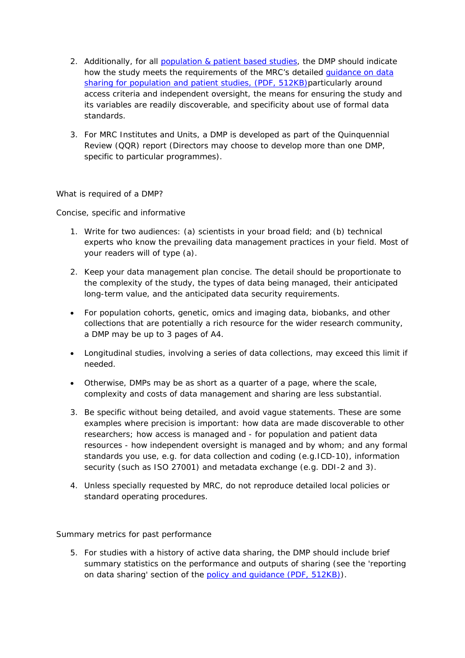- 2. Additionally, for all population & patient based studies, the DMP should indicate how the study meets the requirements of the MRC's detailed **guidance on data** sharing for population and patient studies, (PDF, 512KB)particularly around access criteria and independent oversight, the means for ensuring the study and its variables are readily discoverable, and specificity about use of formal data standards.
- 3. For MRC Institutes and Units, a DMP is developed as part of the Quinquennial Review (QQR) report (Directors may choose to develop more than one DMP, specific to particular programmes).

What is required of a DMP?

Concise, specific and informative

- 1. Write for two audiences: (a) scientists in your broad field; and (b) technical experts who know the prevailing data management practices in your field. Most of your readers will of type (a).
- 2. Keep your data management plan concise. The detail should be proportionate to the complexity of the study, the types of data being managed, their anticipated long-term value, and the anticipated data security requirements.
- For population cohorts, genetic, omics and imaging data, biobanks, and other collections that are potentially a rich resource for the wider research community, a DMP may be up to 3 pages of A4.
- Longitudinal studies, involving a series of data collections, may exceed this limit if needed.
- Otherwise, DMPs may be as short as a quarter of a page, where the scale, complexity and costs of data management and sharing are less substantial.
- 3. Be specific without being detailed, and avoid vague statements. These are some examples where precision is important: how data are made discoverable to other researchers; how access is managed and - for population and patient data resources - how independent oversight is managed and by whom; and any formal standards you use, e.g. for data collection and coding (e.g.ICD-10), information security (such as ISO 27001) and metadata exchange (e.g. DDI-2 and 3).
- 4. Unless specially requested by MRC, do not reproduce detailed local policies or standard operating procedures.

Summary metrics for past performance

5. For studies with a history of active data sharing, the DMP should include brief summary statistics on the performance and outputs of sharing (see the 'reporting on data sharing' section of the policy and guidance (PDF, 512KB)).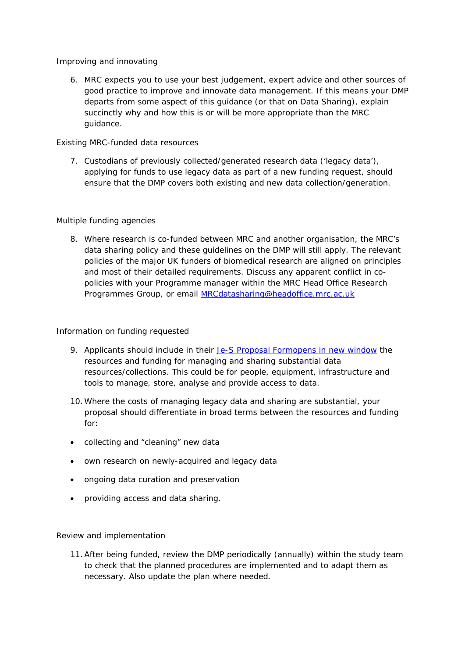## Improving and innovating

6. MRC expects you to use your best judgement, expert advice and other sources of good practice to improve and innovate data management. If this means your DMP departs from some aspect of this guidance (or that on Data Sharing), explain succinctly why and how this is or will be more appropriate than the MRC guidance.

# Existing MRC-funded data resources

7. Custodians of previously collected/generated research data ('legacy data'), applying for funds to use legacy data as part of a new funding request, should ensure that the DMP covers both existing and new data collection/generation.

## Multiple funding agencies

8. Where research is co-funded between MRC and another organisation, the MRC's data sharing policy and these guidelines on the DMP will still apply. The relevant policies of the major UK funders of biomedical research are aligned on principles and most of their detailed requirements. Discuss any apparent conflict in copolicies with your Programme manager within the MRC Head Office Research Programmes Group, or email MRCdatasharing@headoffice.mrc.ac.uk

## Information on funding requested

- 9. Applicants should include in their Je-S Proposal Formopens in new window the resources and funding for managing and sharing substantial data resources/collections. This could be for people, equipment, infrastructure and tools to manage, store, analyse and provide access to data.
- 10.Where the costs of managing legacy data and sharing are substantial, your proposal should differentiate in broad terms between the resources and funding for:
- collecting and "cleaning" new data
- own research on newly-acquired and legacy data
- ongoing data curation and preservation
- providing access and data sharing.

# Review and implementation

11.After being funded, review the DMP periodically (annually) within the study team to check that the planned procedures are implemented and to adapt them as necessary. Also update the plan where needed.